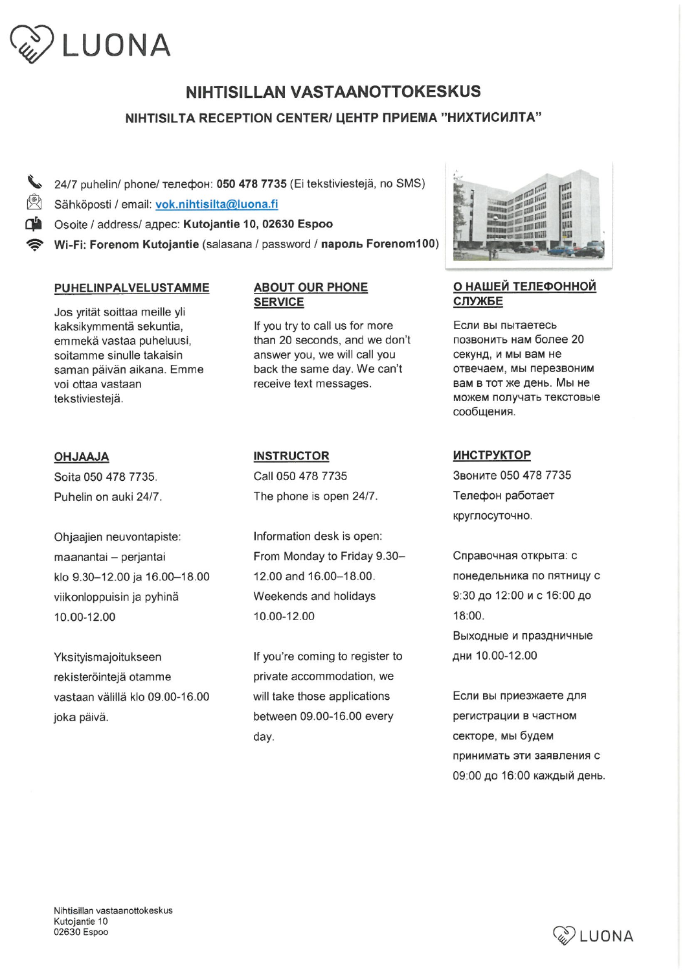

# NIHTISILLAN VASTAANOTTOKESKUS

# NIHTISILTA RECEPTION CENTER/ LEHTP NPUEMA "HUXTUCUUTA"

 $\bullet$  24/7 puhelin/ phone/ телефон: 050 478 7735 (Ei tekstiviestejä, no SMS) Sähköposti / email: vok. nihtisilta@luona. fi Osoite / address/ адрес: Kutojantie 10, 02630 Espoo Wi-Fi: Forenom Kutojantie (salasana / password / пароль Forenom100)

#### PUHELINPALVELUSTAMME

Jos yrität soittaa meille yli kaksikymmentä sekuntia, emmekä vastaa puheluusi, soitamme sinulle takaisin saman päivän aikana. Emme voi ottaa vastaan tekstiviestejä.

### ABOUT OUR PHONE SERVICE

If you try to call us for more than 20 seconds, and we don't answer you, we will call you back the same day. We can't receive text messages.

#### OHJAAJA

Soita 050 478 7735. Puhelin on auki 24/7.

Ohjaajien neuvontapiste: maanantai - perjantai klo 9. 30-12.00 ja 16.00-18.00 viikonloppuisin ja pyhinä 10. 00-12. 00

Yksityismajoitukseen rekisteröintejä otamme vastaan välillä klo 09.00-16.00 joka päivä.

#### **INSTRUCTOR**

Call 050 478 7735 The phone is open 24/7.

Information desk is open: From Monday to Friday 9.30-12. 00 and 16. 00-18. 00. Weekends and holidays 10. 00-12. 00

If you're coming to register to private accommodation, we will take those applications between 09. 00-16. 00 every day.



## О НАШЕЙ ТЕЛЕФОННОЙ CJiyXBE

ECJIM Bbi nbiTaeTecb позвонить нам более 20 секунд, и мы вам не отвечаем, мы перезвоним вам в тот же день. Мы не можем получать текстовые сообщения.

#### MHCTPyKTOP

SBOHMTG 050 478 7735 Телефон работает круглосуточно.

Справочная открыта: с понедельника по пятницу с 9:30 до 12:00 и с 16:00 до 18:00. Выходные и праздничные дни 10.00-12.00

**Если вы приезжаете для** регистрации в частном секторе, мы будем принимать эти заявления с 09:00 до 16:00 каждый день.